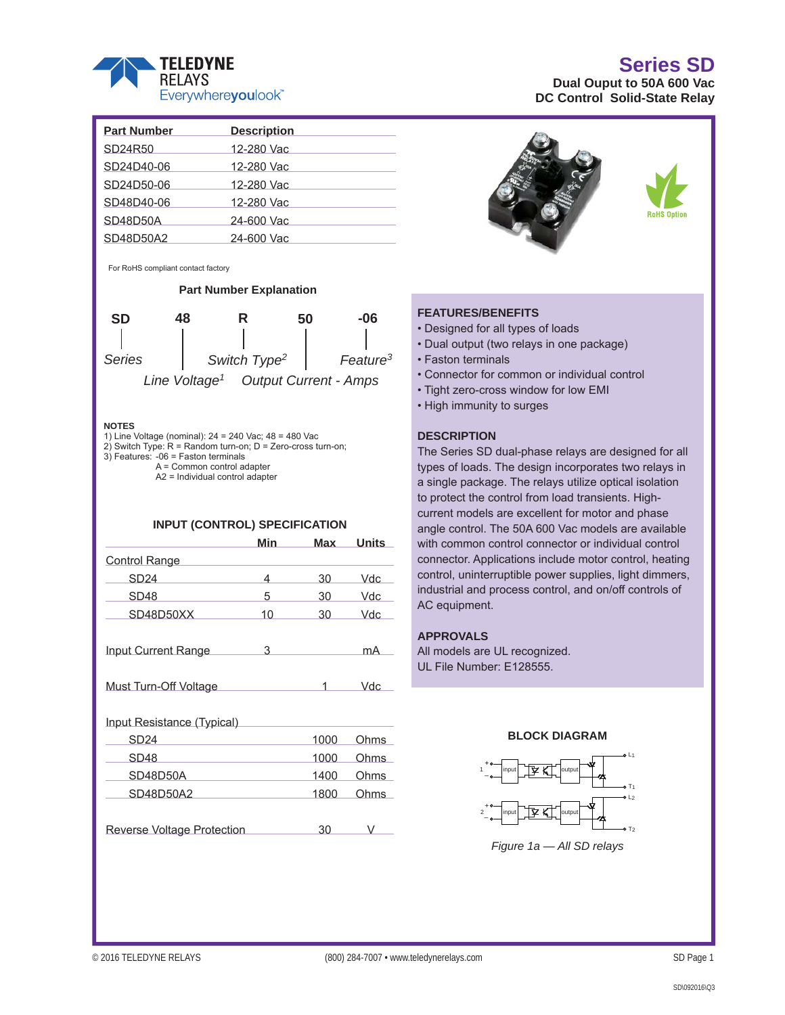

|                         | <b>Series SD</b> |  |
|-------------------------|------------------|--|
| al Ouput to 50A 600 Vac |                  |  |

**Dua DC Control Solid-State Relay**

| <b>Part Number</b> | <b>Description</b> |
|--------------------|--------------------|
| SD24R50            | 12-280 Vac         |
| SD24D40-06         | 12-280 Vac         |
| SD24D50-06         | 12-280 Vac         |
| SD48D40-06         | 12-280 Vac         |
| SD48D50A           | 24-600 Vac         |
| SD48D50A2          | 24-600 Vac         |
|                    |                    |

For RoHS compliant contact factory

**Part Number Explanation**



#### **NOTES**

1) Line Voltage (nominal): 24 = 240 Vac; 48 = 480 Vac

2) Switch Type:  $R =$  Random turn-on;  $D =$  Zero-cross turn-on; 3) Features: -06 = Faston terminals

 A = Common control adapter A2 = Individual control adapter

#### **INPUT (CONTROL) SPECIFICATION**

|                                   | Min | <b>Max</b>                                                                                                                                                                                                                                                                                                                                                                                                                                                                      | <b>Units</b> |  |  |  |
|-----------------------------------|-----|---------------------------------------------------------------------------------------------------------------------------------------------------------------------------------------------------------------------------------------------------------------------------------------------------------------------------------------------------------------------------------------------------------------------------------------------------------------------------------|--------------|--|--|--|
| Control Range                     |     |                                                                                                                                                                                                                                                                                                                                                                                                                                                                                 |              |  |  |  |
| SD24                              | 4   | 30                                                                                                                                                                                                                                                                                                                                                                                                                                                                              | Vdc          |  |  |  |
| SD48                              | 5   | 30                                                                                                                                                                                                                                                                                                                                                                                                                                                                              | Vdc          |  |  |  |
| SD48D50XX                         | 10  | 30                                                                                                                                                                                                                                                                                                                                                                                                                                                                              | Vdc          |  |  |  |
| Input Current Range               | 3   |                                                                                                                                                                                                                                                                                                                                                                                                                                                                                 | mA           |  |  |  |
| Must Turn-Off Voltage             |     | $\overline{\phantom{a}}$ $\overline{\phantom{a}}$ $\overline{\phantom{a}}$ $\overline{\phantom{a}}$ $\overline{\phantom{a}}$ $\overline{\phantom{a}}$ $\overline{\phantom{a}}$ $\overline{\phantom{a}}$ $\overline{\phantom{a}}$ $\overline{\phantom{a}}$ $\overline{\phantom{a}}$ $\overline{\phantom{a}}$ $\overline{\phantom{a}}$ $\overline{\phantom{a}}$ $\overline{\phantom{a}}$ $\overline{\phantom{a}}$ $\overline{\phantom{a}}$ $\overline{\phantom{a}}$ $\overline{\$ | Vdc          |  |  |  |
| Input Resistance (Typical)        |     |                                                                                                                                                                                                                                                                                                                                                                                                                                                                                 |              |  |  |  |
| SD24                              |     | 1000                                                                                                                                                                                                                                                                                                                                                                                                                                                                            | Ohms         |  |  |  |
| SD48                              |     | 1000                                                                                                                                                                                                                                                                                                                                                                                                                                                                            | <b>Ohms</b>  |  |  |  |
| SD48D50A                          |     | 1400                                                                                                                                                                                                                                                                                                                                                                                                                                                                            | <b>Ohms</b>  |  |  |  |
| SD48D50A2                         |     | 1800                                                                                                                                                                                                                                                                                                                                                                                                                                                                            | <b>Ohms</b>  |  |  |  |
| <b>Reverse Voltage Protection</b> |     | 30                                                                                                                                                                                                                                                                                                                                                                                                                                                                              | V.           |  |  |  |





#### **FEATURES/BENEFITS**

- Designed for all types of loads
- Dual output (two relays in one package)
- Faston terminals
- Connector for common or individual control
- Tight zero-cross window for low EMI
- High immunity to surges

#### **DESCRIPTION**

The Series SD dual-phase relays are designed for all types of loads. The design incorporates two relays in a single package. The relays utilize optical isolation to protect the control from load transients. Highcurrent models are excellent for motor and phase angle control. The 50A 600 Vac models are available with common control connector or individual control connector. Applications include motor control, heating control, uninterruptible power supplies, light dimmers, industrial and process control, and on/off controls of AC equipment.

#### **APPROVALS**

All models are UL recognized. UL File Number: E128555.



#### **BLOCK DIAGRAM**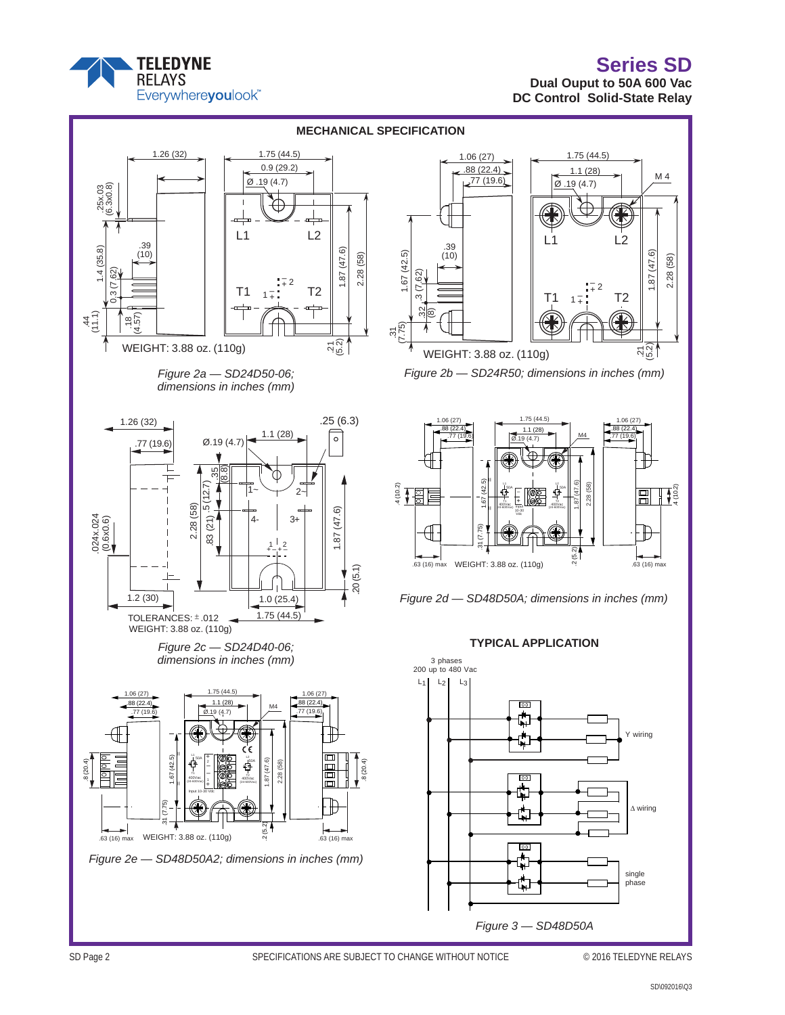# **Series SD**



### **Dual Ouput to 50A 600 Vac DC Control Solid-State Relay**



*Figure 3 — SD48D50A*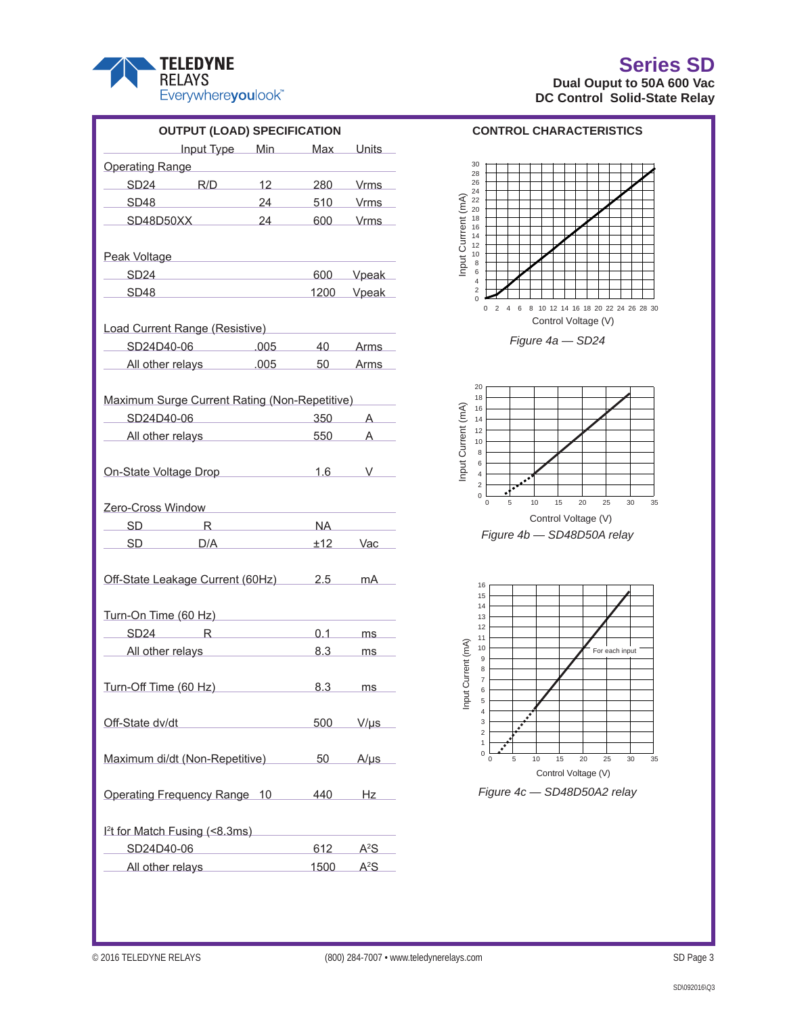

### **Series SD Dual Ouput to 50A 600 Vac DC Control Solid-State Relay**

| <b>OUTPUT (LOAD) SPECIFICATION</b>                               |                                                                                                                                           |  |              |                  |  |  |  |  |
|------------------------------------------------------------------|-------------------------------------------------------------------------------------------------------------------------------------------|--|--------------|------------------|--|--|--|--|
| Input Type Min Max Units                                         |                                                                                                                                           |  |              |                  |  |  |  |  |
| Operating Range                                                  |                                                                                                                                           |  |              |                  |  |  |  |  |
| SD24 R/D 12 280 Vrms                                             |                                                                                                                                           |  |              |                  |  |  |  |  |
| SD48 24 510 Vrms                                                 |                                                                                                                                           |  |              |                  |  |  |  |  |
| SD48D50XX 24 600 Vrms                                            |                                                                                                                                           |  |              |                  |  |  |  |  |
| Peak Voltage <b>Manual Accord Peak Voltage</b>                   |                                                                                                                                           |  |              |                  |  |  |  |  |
| SD24 600 Vpeak                                                   |                                                                                                                                           |  |              |                  |  |  |  |  |
| SD48 1200 Vpeak                                                  |                                                                                                                                           |  |              |                  |  |  |  |  |
| Load Current Range (Resistive)<br>Load Current Range (Resistive) |                                                                                                                                           |  |              |                  |  |  |  |  |
| SD24D40-06 .005 40 Arms                                          |                                                                                                                                           |  |              |                  |  |  |  |  |
| All other relays 005 50 Arms                                     |                                                                                                                                           |  |              |                  |  |  |  |  |
| Maximum Surge Current Rating (Non-Repetitive)                    |                                                                                                                                           |  |              |                  |  |  |  |  |
| SD24D40-06 350 A                                                 |                                                                                                                                           |  |              |                  |  |  |  |  |
| All other relays 550 A                                           |                                                                                                                                           |  |              |                  |  |  |  |  |
| On-State Voltage Drop 1.6 V                                      |                                                                                                                                           |  |              |                  |  |  |  |  |
| Zero-Cross Window New York 2014                                  |                                                                                                                                           |  |              |                  |  |  |  |  |
| SD R NA                                                          |                                                                                                                                           |  |              |                  |  |  |  |  |
| SD D/A $\pm 12$ Vac                                              |                                                                                                                                           |  |              |                  |  |  |  |  |
| Off-State Leakage Current (60Hz) 2.5 mA                          |                                                                                                                                           |  |              |                  |  |  |  |  |
| Turn-On Time (60 Hz)                                             |                                                                                                                                           |  |              |                  |  |  |  |  |
| SD24 R 0.1 ms                                                    |                                                                                                                                           |  |              |                  |  |  |  |  |
| All other relays <b>All other relays All other relays</b>        |                                                                                                                                           |  | 8.3 ms       |                  |  |  |  |  |
| Turn-Off Time (60 Hz) 8.3 ms                                     |                                                                                                                                           |  |              |                  |  |  |  |  |
| Off-State dv/dt<br><u>Off-State dv/dt</u>                        |                                                                                                                                           |  |              | 500 V/µs         |  |  |  |  |
| Maximum di/dt (Non-Repetitive) 50                                |                                                                                                                                           |  |              | $A/\mu s$        |  |  |  |  |
| Operating Frequency Range 10 440 Hz                              |                                                                                                                                           |  |              |                  |  |  |  |  |
| <sup>12</sup> t for Match Fusing (<8.3ms)                        |                                                                                                                                           |  |              |                  |  |  |  |  |
| SD24D40-06                                                       | $\mathcal{L}(\mathcal{L}^{\mathcal{L}})$ and $\mathcal{L}^{\mathcal{L}}$ are the set of the set of the set of $\mathcal{L}^{\mathcal{L}}$ |  | $612$ $A^2S$ |                  |  |  |  |  |
| All other relays                                                 |                                                                                                                                           |  | 1500         | A <sup>2</sup> S |  |  |  |  |